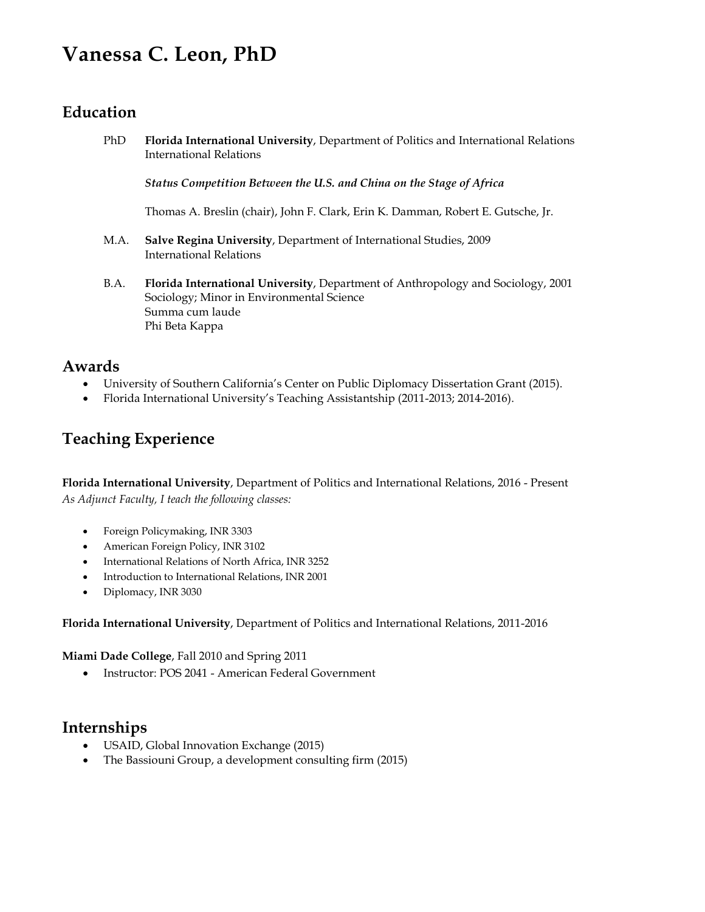# **Vanessa C. Leon, PhD**

## **Education**

PhD **Florida International University**, Department of Politics and International Relations International Relations

*Status Competition Between the U.S. and China on the Stage of Africa*

Thomas A. Breslin (chair), John F. Clark, Erin K. Damman, Robert E. Gutsche, Jr.

- M.A. **Salve Regina University**, Department of International Studies, 2009 International Relations
- B.A. **Florida International University**, Department of Anthropology and Sociology, 2001 Sociology; Minor in Environmental Science Summa cum laude Phi Beta Kappa

### **Awards**

- University of Southern California's Center on Public Diplomacy Dissertation Grant (2015).
- Florida International University's Teaching Assistantship (2011-2013; 2014-2016).

## **Teaching Experience**

**Florida International University**, Department of Politics and International Relations, 2016 - Present *As Adjunct Faculty, I teach the following classes:*

- Foreign Policymaking, INR 3303
- American Foreign Policy, INR 3102
- International Relations of North Africa, INR 3252
- Introduction to International Relations, INR 2001
- Diplomacy, INR 3030

#### **Florida International University**, Department of Politics and International Relations, 2011-2016

**Miami Dade College**, Fall 2010 and Spring 2011

• Instructor: POS 2041 - American Federal Government

### **Internships**

- USAID, Global Innovation Exchange (2015)
- The Bassiouni Group, a development consulting firm (2015)